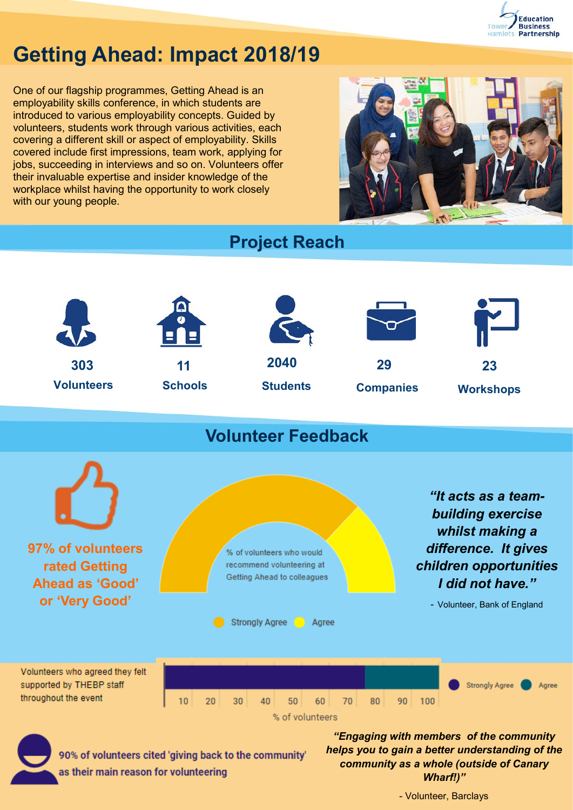

## **Getting Ahead: Impact 2018/19**

One of our flagship programmes, Getting Ahead is an employability skills conference, in which students are introduced to various employability concepts. Guided by volunteers, students work through various activities, each covering a different skill or aspect of employability. Skills covered include first impressions, team work, applying for jobs, succeeding in interviews and so on. Volunteers offer their invaluable expertise and insider knowledge of the workplace whilst having the opportunity to work closely with our young people.



## **Project Reach**



## **Volunteer Feedback**



90% of volunteers cited 'giving back to the community' as their main reason for volunteering

*"Engaging with members of the community helps you to gain a better understanding of the community as a whole (outside of Canary Wharf!)"* 

- Volunteer, Barclays